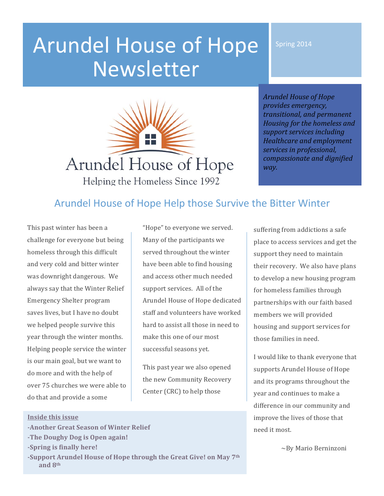# Arundel House of Hope Newsletter

Spring 2014



*Arundel House of Hope provides emergency, transitional, and permanent Housing for the homeless and* support services *including* **Healthcare and employment** *services in professional, compassionate and dignified way.*

### Arundel House of Hope Help those Survive the Bitter Winter

This past winter has been a challenge for everyone but being homeless through this difficult and very cold and bitter winter was downright dangerous. We always say that the Winter Relief Emergency Shelter program saves lives, but I have no doubt we helped people survive this year through the winter months. Helping people service the winter is our main goal, but we want to do more and with the help of over 75 churches we were able to do that and provide a some

"Hope" to everyone we served. Many of the participants we served throughout the winter have been able to find housing and access other much needed support services. All of the Arundel House of Hope dedicated staff and volunteers have worked hard to assist all those in need to make this one of our most successful seasons yet.

This past year we also opened the new Community Recovery Center (CRC) to help those

suffering from addictions a safe place to access services and get the support they need to maintain their recovery. We also have plans to develop a new housing program for homeless families through partnerships with our faith based members we will provided housing and support services for those families in need.

I would like to thank everyone that supports Arundel House of Hope and its programs throughout the year and continues to make a difference in our community and improve the lives of those that need it most.

 ~By Mario Berninzoni

#### **Inside this issue**

- **-Another Great Season of Winter Relief**
- **-The Doughy Dog is Open again!**
- **-Spring is finally here!**
- -Support Arundel House of Hope through the Great Give! on May 7<sup>th</sup> **and 8th**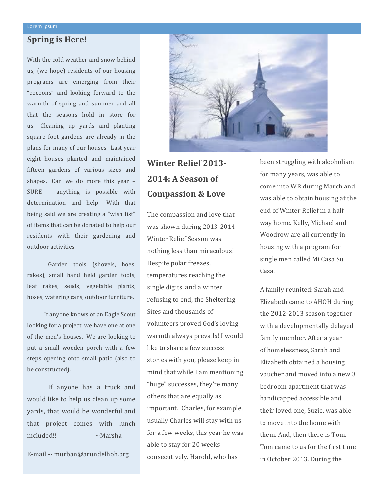#### **Spring is Here!**

With the cold weather and snow behind us, (we hope) residents of our housing programs are emerging from their "cocoons" and looking forward to the warmth of spring and summer and all that the seasons hold in store for us. Cleaning up yards and planting square foot gardens are already in the plans for many of our houses. Last year eight houses planted and maintained fifteen gardens of various sizes and shapes. Can we do more this year  $-$ SURE - anything is possible with determination and help. With that being said we are creating a "wish list" of items that can be donated to help our residents with their gardening and outdoor activities.

Garden tools (shovels, hoes, rakes), small hand held garden tools, leaf rakes, seeds, vegetable plants, hoses, watering cans, outdoor furniture.

If anyone knows of an Eagle Scout looking for a project, we have one at one of the men's houses. We are looking to put a small wooden porch with a few steps opening onto small patio (also to be constructed).

If anyone has a truck and would like to help us clean up some yards, that would be wonderful and that project comes with lunch included!! ~Marsha

E-mail -- murban@arundelhoh.org



## **Winter Relief 2013- 2014: A Season of Compassion & Love**

The compassion and love that was shown during 2013-2014 Winter Relief Season was nothing less than miraculous! Despite polar freezes, temperatures reaching the single digits, and a winter refusing to end, the Sheltering Sites and thousands of volunteers proved God's loving warmth always prevails! I would like to share a few success stories with you, please keep in mind that while I am mentioning "huge" successes, they're many others that are equally as important. Charles, for example, usually Charles will stay with us for a few weeks, this year he was able to stay for 20 weeks consecutively. Harold, who has

been struggling with alcoholism for many years, was able to come into WR during March and was able to obtain housing at the end of Winter Relief in a half way home. Kelly, Michael and Woodrow are all currently in housing with a program for single men called Mi Casa Su Casa.

A family reunited: Sarah and Elizabeth came to AHOH during the 2012-2013 season together with a developmentally delayed family member. After a year of homelessness, Sarah and Elizabeth obtained a housing voucher and moved into a new 3 bedroom apartment that was handicapped accessible and their loved one, Suzie, was able to move into the home with them. And, then there is Tom. Tom came to us for the first time in October 2013. During the